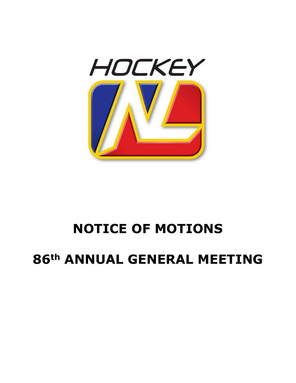

# **NOTICE OF MOTIONS**

# **86th ANNUAL GENERAL MEETING**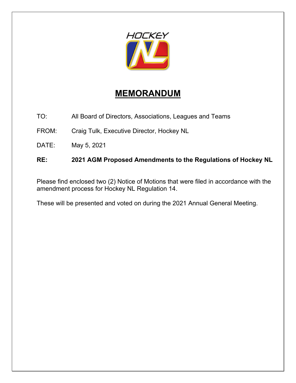

# **MEMORANDUM**

TO: All Board of Directors, Associations, Leagues and Teams

FROM: Craig Tulk, Executive Director, Hockey NL

DATE: May 5, 2021

# **RE: 2021 AGM Proposed Amendments to the Regulations of Hockey NL**

Please find enclosed two (2) Notice of Motions that were filed in accordance with the amendment process for Hockey NL Regulation 14.

These will be presented and voted on during the 2021 Annual General Meeting.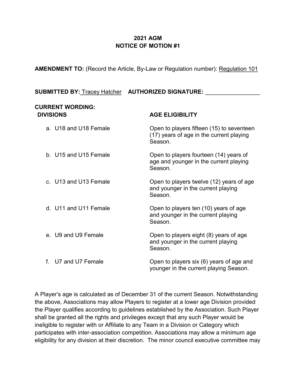## **2021 AGM NOTICE OF MOTION #1**

**AMENDMENT TO:** (Record the Article, By-Law or Regulation number): Regulation 101

# **SUBMITTED BY:** Tracey Hatcher **AUTHORIZED SIGNATURE:** \_\_\_\_\_\_\_\_\_\_\_\_\_\_\_\_\_

#### **CURRENT WORDING: DIVISIONS AGE ELIGIBILITY**

| a. U18 and U18 Female | Open to players fifteen (15) to seventeen<br>(17) years of age in the current playing<br>Season. |
|-----------------------|--------------------------------------------------------------------------------------------------|
| b. U15 and U15 Female | Open to players fourteen (14) years of<br>age and younger in the current playing<br>Season.      |
| c. U13 and U13 Female | Open to players twelve (12) years of age<br>and younger in the current playing<br>Season.        |
| d. U11 and U11 Female | Open to players ten (10) years of age<br>and younger in the current playing<br>Season.           |
| e. U9 and U9 Female   | Open to players eight (8) years of age<br>and younger in the current playing<br>Season.          |
| U7 and U7 Female      | Open to players six (6) years of age and<br>younger in the current playing Season.               |

A Player's age is calculated as of December 31 of the current Season. Notwithstanding the above, Associations may allow Players to register at a lower age Division provided the Player qualifies according to guidelines established by the Association. Such Player shall be granted all the rights and privileges except that any such Player would be ineligible to register with or Affiliate to any Team in a Division or Category which participates with inter-association competition. Associations may allow a minimum age eligibility for any division at their discretion. The minor council executive committee may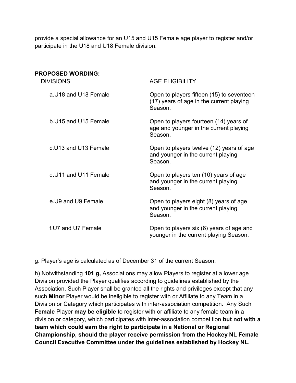provide a special allowance for an U15 and U15 Female age player to register and/or participate in the U18 and U18 Female division.

| <b>PROPOSED WORDING:</b><br><b>DIVISIONS</b> | <b>AGE ELIGIBILITY</b>                                                                           |
|----------------------------------------------|--------------------------------------------------------------------------------------------------|
| a U18 and U18 Female                         | Open to players fifteen (15) to seventeen<br>(17) years of age in the current playing<br>Season. |
| b. U15 and U15 Female                        | Open to players fourteen (14) years of<br>age and younger in the current playing<br>Season.      |
| c.U13 and U13 Female                         | Open to players twelve (12) years of age<br>and younger in the current playing<br>Season.        |
| d.U11 and U11 Female                         | Open to players ten (10) years of age<br>and younger in the current playing<br>Season.           |
| e.U9 and U9 Female                           | Open to players eight (8) years of age<br>and younger in the current playing<br>Season.          |
| f.U7 and U7 Female                           | Open to players six (6) years of age and<br>younger in the current playing Season.               |

g. Player's age is calculated as of December 31 of the current Season.

h) Notwithstanding **101 g,** Associations may allow Players to register at a lower age Division provided the Player qualifies according to guidelines established by the Association. Such Player shall be granted all the rights and privileges except that any such **Minor** Player would be ineligible to register with or Affiliate to any Team in a Division or Category which participates with inter-association competition. Any Such **Female** Player **may be eligible** to register with or affiliate to any female team in a division or category, which participates with inter-association competition **but not with a team which could earn the right to participate in a National or Regional Championship, should the player receive permission from the Hockey NL Female Council Executive Committee under the guidelines established by Hockey NL.**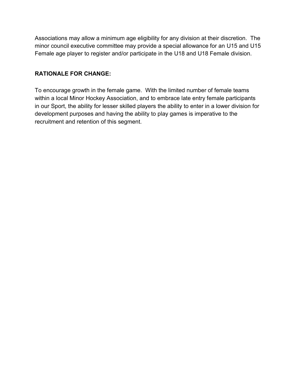Associations may allow a minimum age eligibility for any division at their discretion. The minor council executive committee may provide a special allowance for an U15 and U15 Female age player to register and/or participate in the U18 and U18 Female division.

### **RATIONALE FOR CHANGE:**

To encourage growth in the female game. With the limited number of female teams within a local Minor Hockey Association, and to embrace late entry female participants in our Sport, the ability for lesser skilled players the ability to enter in a lower division for development purposes and having the ability to play games is imperative to the recruitment and retention of this segment.